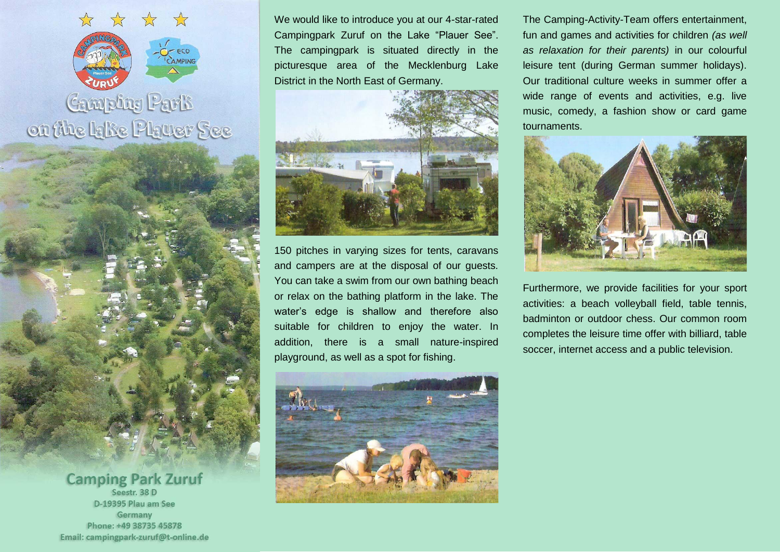

## **Camping Park** on the Ialie Plauer See

**Camping Park Zuruf** Seestr, 38 D D-19395 Plau am See Germany Phone: +49 38735 45878 Email: campingpark-zuruf@t-online.de We would like to introduce you at our 4-star-rated Campingpark Zuruf on the Lake "Plauer See". The campingpark is situated directly in the picturesque area of the Mecklenburg Lake District in the North East of Germany.



150 pitches in varying sizes for tents, caravans and campers are at the disposal of our guests. You can take a swim from our own bathing beach or relax on the bathing platform in the lake. The water's edge is shallow and therefore also suitable for children to enjoy the water. In addition, there is a small nature-inspired playground, as well as a spot for fishing.



The Camping-Activity-Team offers entertainment, fun and games and activities for children *(as well as relaxation for their parents)* in our colourful leisure tent (during German summer holidays). Our traditional culture weeks in summer offer a wide range of events and activities, e.g. live music, comedy, a fashion show or card game tournaments.



Furthermore, we provide facilities for your sport activities: a beach volleyball field, table tennis, badminton or outdoor chess. Our common room completes the leisure time offer with billiard, table soccer, internet access and a public television.